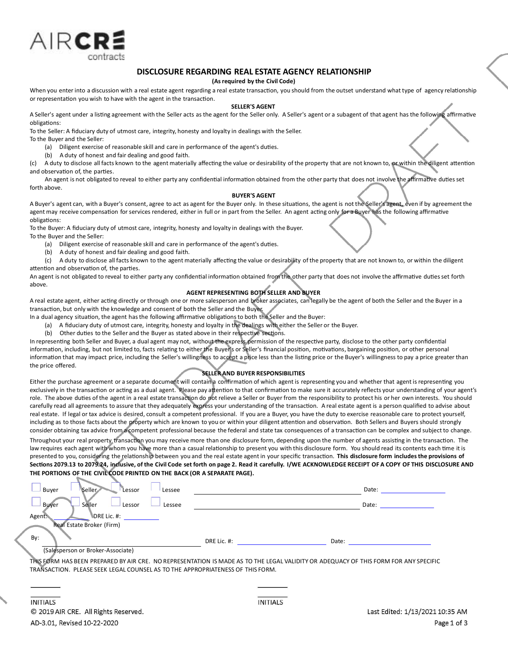# **DISCLOSURE REGARDING REAL ESTATE AGENCY RELATIONSHIP**

### **(Asrequired by the Civil Code)**

When you enter into a discussion with a real estate agent regarding a real estate transaction, you should from the outset understand what type of agency relationship or representation you wish to have with the agent in the transaction.

#### **SELLER'S AGENT**

A Seller's agent under a listing agreement with the Seller acts as the agent for the Seller only. A Seller's agent or a subagent of that agent has the following affirmative obligations:

To the Seller: A fiduciary duty of utmost care, integrity, honesty and loyalty in dealings with the Seller. To the Buyer and the Seller:

(a) Diligent exercise of reasonable skill and care in performance of the agent's duties.

(b) A duty of honest and fair dealing and good faith.

 $^{\rm IR}$ C

(c) A duty to disclose all facts known to the agent materially affecting the value or desirability of the property that are not known to, or within the diligent attention and observation of, the parties.

An agent is not obligated to reveal to either party any confidential information obtained from the other party that does not involve the affirmative duties set forth above.

#### **BUYER'S AGENT**

A Buyer's agent can, with a Buyer's consent, agree to act as agent for the Buyer only. In these situations, the agent is not the Seller's agent, even if by agreement the agent may receive compensation for services rendered, either in full or in part from the Seller. An agent acting only for a Buyer has the following affirmative obligations:

To the Buyer: A fiduciary duty of utmost care, integrity, honesty and loyalty in dealings with the Buyer. To the Buyer and the Seller:

(a) Diligent exercise of reasonable skill and care in performance of the agent's duties.

(b) A duty of honest and fair dealing and good faith.

(c) A duty to disclose all facts known to the agent materially affecting the value or desirability of the property that are not known to, or within the diligent attention and observation of, the parties.

An agent is not obligated to reveal to either party any confidential information obtained from the other party that does not involve the affirmative duties set forth above.

# **AGENT REPRESENTING BOTH SELLER AND BUYER**

A real estate agent, either acting directly or through one or more salesperson and broker associates, can legally be the agent of both the Seller and the Buyer in a transaction, but only with the knowledge and consent of both the Seller and the Buyer.

In a dual agency situation, the agent has the following affirmative obligations to both the Seller and the Buyer:

(a) A fiduciary duty of utmost care, integrity, honesty and loyalty in the dealings with either the Seller or the Buyer.

(b) Other duties to the Seller and the Buyer as stated above in their respective sections.

In representing both Seller and Buyer, a dual agent may not, without the express permission of the respective party, disclose to the other party confidential information, including, but not limited to, facts relating to either the Buyer's or Seller's financial position, motivations, bargaining position, or other personal information that may impact price, including the Seller's willingness to accept a price less than the listing price or the Buyer's willingness to pay a price greater than the price offered.

## **SELLER AND BUYER RESPONSIBILITIES**

Either the purchase agreement or a separate document will contain a confirmation of which agent is representing you and whether that agent is representing you exclusively in the transaction or acting as a dual agent. Please pay attention to that confirmation to make sure it accurately reflects your understanding of your agent's role. The above duties of the agent in a real estate transaction do not relieve a Seller or Buyer from the responsibility to protect his or her own interests. You should carefully read all agreements to assure that they adequately express your understanding of the transaction. A real estate agent is a person qualified to advise about real estate. If legal or tax advice is desired, consult a competent professional. If you are a Buyer, you have the duty to exercise reasonable care to protect yourself, including as to those facts about the property which are known to you or within your diligent attention and observation. Both Sellers and Buyers should strongly consider obtaining tax advice from a competent professional because the federal and state tax consequences of a transaction can be complex and subject to change.

Throughout your real property transaction you may receive more than one disclosure form, depending upon the number of agents assisting in the transaction. The law requires each agent with whom you have more than a casual relationship to present you with this disclosure form. You should read its contents each time it is presented to you, considering the relaƟonship between you and the real estate agent in your specific transacƟon. **This disclosure form includesthe provisions of** Sections 2079.13 to 2079.24, inclusive, of the Civil Code set forth on page 2. Read it carefully. I/WE ACKNOWLEDGE RECEIPT OF A COPY OF THIS DISCLOSURE AND **THE PORTIONS OF THE CIVIL CODE PRINTED ON THE BACK (OR A SEPARATE PAGE).**

| Seller<br>Buyer<br><b>Lessor</b>                   | Lessee |             |       | Date: |
|----------------------------------------------------|--------|-------------|-------|-------|
| Seller<br><b>Buver</b><br>Lessor                   | Lessee |             |       | Date: |
| DRE Lic. #:<br>Agent:<br>Real Estate Broker (Firm) |        |             |       |       |
| By:                                                |        | DRE Lic. #: | Date: |       |
| (Salesperson or Broker-Associate)                  |        |             |       |       |

THIS FORM HAS BEEN PREPARED BY AIR CRE. NO REPRESENTATION IS MADE AS TO THE LEGAL VALIDITY OR ADEQUACY OF THIS FORM FOR ANY SPECIFIC TRANSACTION. PLEASE SEEK LEGAL COUNSEL AS TO THE APPROPRIATENESS OF THIS FORM.

**INITIALS**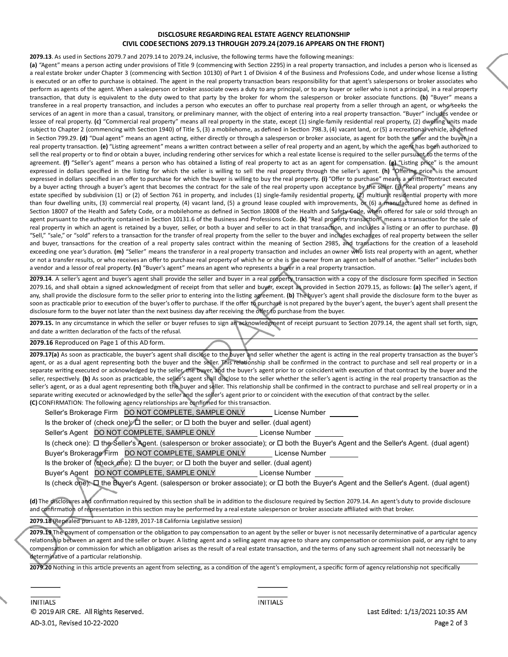## **DISCLOSURE REGARDINGREAL ESTATE AGENCY RELATIONSHIP CIVIL CODE SECTIONS 2079.13 THROUGH 2079.24 (2079.16 APPEARS ONTHE FRONT)**

**2079.13**. As used in Sections 2079.7 and 2079.14 to 2079.24, inclusive, the following terms have the following meanings:

(a) "Agent" means a person acting under provisions of Title 9 (commencing with Section 2295) in a real property transaction, and includes a person who is licensed as a real estate broker under Chapter 3 (commencing with Section 10130) of Part 1 of Division 4 of the Business and Professions Code, and under whose license a listing is executed or an offer to purchase is obtained. The agent in the real property transaction bears responsibility for that agent's salespersons or broker associates who perform as agents of the agent. When a salesperson or broker associate owes a duty to any principal, or to any buyer or seller who is not a principal, in a real property transaction, that duty is equivalent to the duty owed to that party by the broker for whom the salesperson or broker associate functions. (b) "Buyer" means a transferee in a real property transaction, and includes a person who executes an offer to purchase real property from a seller through an agent, or who seeks the services of an agent in more than a casual, transitory, or preliminary manner, with the object of entering into a real property transaction. "Buyer" includes vendee or lessee of real property. (c) "Commercial real property" means all real property in the state, except (1) single-family residential real property, (2) dwelling units made subject to Chapter 2 (commencing with Section 1940) of Title 5, (3) a mobilehome, as defined in Section 798.3, (4) vacant land, or (5) a recreational vehicle, as defined in Section 799.29. (d) "Dual agent" means an agent acting, either directly or through a salesperson or broker associate, as agent for both the seller and the buyer in a real property transaction. (e) "Listing agreement" means a written contract between a seller of real property and an agent, by which the agent has been authorized to sell the real property or to find or obtain a buyer, including rendering other services for which a real estate license is required to the seller pursuant to the terms of the agreement. **(f)** "Seller's agent" means a person who has obtained a listing of real property to act as an agent for compensation. **(g)** "Listing price" is the amount expressed in dollars specified in the listing for which the seller is willing to sell the real property through the seller's agent. (h) "Offering price" is the amount expressed in dollars specified in an offer to purchase for which the buyer is willing to buy the real property. (i) "Offer to purchase" means a written contract executed by a buyer acting through a buyer's agent that becomes the contract for the sale of the real property upon acceptance by the seller. (j) "Real property" means any estate specified by subdivision (1) or (2) of Section 761 in property, and includes (1) single-family residential property, (2) multiunit residential property with more than four dwelling units, (3) commercial real property, (4) vacant land, (5) a ground lease coupled with improvements, or (6) a manufactured home as defined in Section 18007 of the Health and Safety Code, or a mobilehome as defined in Section 18008 of the Health and Safety Code, when offered for sale or sold through an agent pursuant to the authority contained in Section 10131.6 of the Business and Professions Code. (k) "Real property transaction" means a transaction for the sale of real property in which an agent is retained by a buyer, seller, or both a buyer and seller to act in that transaction, and includes a listing or an offer to purchase. (I) "Sell," "sale," or "sold" refers to a transaction for the transfer of real property from the seller to the buyer and includes exchanges of real property between the seller and buyer, transactions for the creation of a real property sales contract within the meaning of Section 2985, and transactions for the creation of a leasehold exceeding one year's duration. (m) "Seller" means the transferor in a real property transaction and includes an owner who lists real property with an agent, whether or not a transfer results, or who receives an offer to purchase real property of which he or she is the owner from an agent on behalf of another. "Seller" includes both a vendor and a lessor of real property. (n) "Buyer's agent" means an agent who represents a buyer in a real property transaction.

2079.14. A seller's agent and buyer's agent shall provide the seller and buyer in a real property transaction with a copy of the disclosure form specified in Section 2079.16, and shall obtain a signed acknowledgment of receipt from that seller and buyer, except as provided in Section 2079.15, as follows: (a) The seller's agent, if any, shall provide the disclosure form to the seller prior to entering into the listing agreement. (b) The buyer's agent shall provide the disclosure form to the buyer as soon as practicable prior to execution of the buyer's offer to purchase. If the offer to purchase is not prepared by the buyer's agent, the buyer's agent shall present the disclosure form to the buyer not later than the next business day after receiving the offer to purchase from the buyer.

2079.15. In any circumstance in which the seller or buyer refuses to sign an acknowledgment of receipt pursuant to Section 2079.14, the agent shall set forth, sign, and date a written declaration of the facts of the refusal.

### **2079.16** Reproduced on Page 1 of this AD form.

2079.17(a) As soon as practicable, the buyer's agent shall disclose to the buyer and seller whether the agent is acting in the real property transaction as the buyer's agent, or as a dual agent representing both the buyer and the seller. This relationship shall be confirmed in the contract to purchase and sell real property or in a separate writing executed or acknowledged by the seller, the buyer, and the buyer's agent prior to or coincident with execution of that contract by the buyer and the seller, respectively. (b) As soon as practicable, the seller's agent shall disclose to the seller whether the seller's agent is acting in the real property transaction as the seller's agent, or as a dual agent representing both the buyer and seller. This relationship shall be confirmed in the contract to purchase and sell real property or in a separate writing executed or acknowledged by the seller and the seller's agent prior to or coincident with the execution of that contract by the seller. **(C)** CONFIRMATION: The following agency relationships are confirmed for this transaction.

Is the broker of (check one):  $\Box$  the seller; or  $\Box$  both the buyer and seller. (dual agent)

Seller's Agent DO NOT COMPLETE, SAMPLE ONLY License Number

|  |  | Is (check one): □ the Seller's Agent. (salesperson or broker associate); or □ both the Buyer's Agent and the Seller's Agent. (dual agent) |  |
|--|--|-------------------------------------------------------------------------------------------------------------------------------------------|--|
|--|--|-------------------------------------------------------------------------------------------------------------------------------------------|--|

Buyer's Brokerage Firm DO NOT COMPLETE, SAMPLE ONLY License Number

Is the broker of (check one):  $\Box$  the buyer; or  $\Box$  both the buyer and seller. (dual agent)

Buyer's Agent DO NOT COMPLETE, SAMPLE ONLY License Number

Is (check one):  $\Box$  the Buyer's Agent. (salesperson or broker associate); or  $\Box$  both the Buyer's Agent and the Seller's Agent. (dual agent)

(d) The disclosures and confirmation required by this section shall be in addition to the disclosure required by Section 2079.14. An agent's duty to provide disclosure and confirmation of representation in this section may be performed by a real estate salesperson or broker associate affiliated with that broker.

2079.18 (Repealed pursuant to AB-1289, 2017-18 California Legislative session)

2079.19 The payment of compensation or the obligation to pay compensation to an agent by the seller or buyer is not necessarily determinative of a particular agency relationship between an agent and the seller or buyer. A listing agent and a selling agent may agree to share any compensation or commission paid, or any right to any compensation or commission for which an obligation arises as the result of a real estate transaction, and the terms of any such agreement shall not necessarily be determinative of a particular relationship.

**2079.20** Nothing in this article prevents an agent from selecting, as a condition of the agent's employment, a specific form of agency relationship not specifically